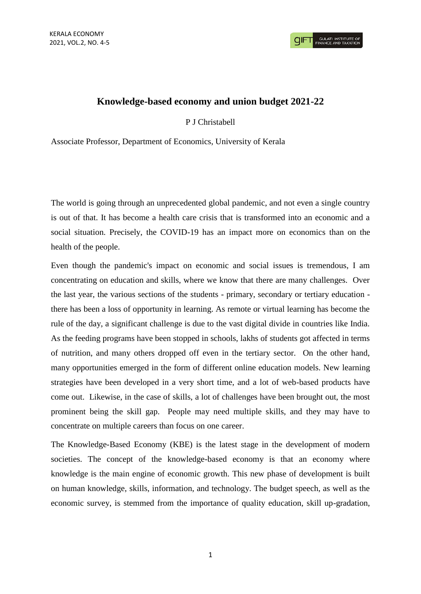## **Knowledge-based economy and union budget 2021-22**

P J Christabell

Associate Professor, Department of Economics, University of Kerala

The world is going through an unprecedented global pandemic, and not even a single country is out of that. It has become a health care crisis that is transformed into an economic and a social situation. Precisely, the COVID-19 has an impact more on economics than on the health of the people.

Even though the pandemic's impact on economic and social issues is tremendous, I am concentrating on education and skills, where we know that there are many challenges. Over the last year, the various sections of the students - primary, secondary or tertiary education there has been a loss of opportunity in learning. As remote or virtual learning has become the rule of the day, a significant challenge is due to the vast digital divide in countries like India. As the feeding programs have been stopped in schools, lakhs of students got affected in terms of nutrition, and many others dropped off even in the tertiary sector. On the other hand, many opportunities emerged in the form of different online education models. New learning strategies have been developed in a very short time, and a lot of web-based products have come out. Likewise, in the case of skills, a lot of challenges have been brought out, the most prominent being the skill gap. People may need multiple skills, and they may have to concentrate on multiple careers than focus on one career.

The Knowledge-Based Economy (KBE) is the latest stage in the development of modern societies. The concept of the knowledge-based economy is that an economy where knowledge is the main engine of economic growth. This new phase of development is built on human knowledge, skills, information, and technology. The budget speech, as well as the economic survey, is stemmed from the importance of quality education, skill up-gradation,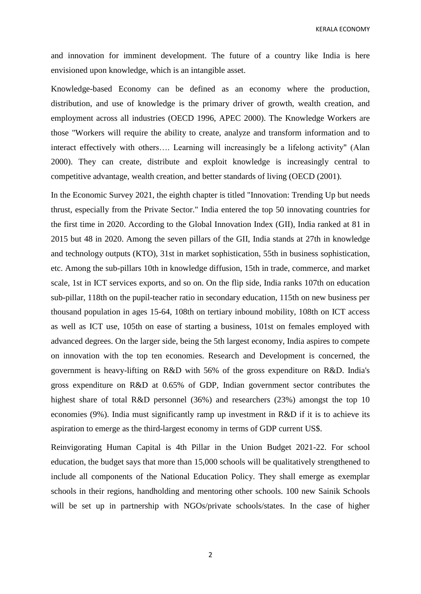KERALA ECONOMY

and innovation for imminent development. The future of a country like India is here envisioned upon knowledge, which is an intangible asset.

Knowledge-based Economy can be defined as an economy where the production, distribution, and use of knowledge is the primary driver of growth, wealth creation, and employment across all industries (OECD 1996, APEC 2000). The Knowledge Workers are those "Workers will require the ability to create, analyze and transform information and to interact effectively with others…. Learning will increasingly be a lifelong activity" (Alan 2000). They can create, distribute and exploit knowledge is increasingly central to competitive advantage, wealth creation, and better standards of living (OECD (2001).

In the Economic Survey 2021, the eighth chapter is titled "Innovation: Trending Up but needs thrust, especially from the Private Sector." India entered the top 50 innovating countries for the first time in 2020. According to the Global Innovation Index (GII), India ranked at 81 in 2015 but 48 in 2020. Among the seven pillars of the GII, India stands at 27th in knowledge and technology outputs (KTO), 31st in market sophistication, 55th in business sophistication, etc. Among the sub-pillars 10th in knowledge diffusion, 15th in trade, commerce, and market scale, 1st in ICT services exports, and so on. On the flip side, India ranks 107th on education sub-pillar, 118th on the pupil-teacher ratio in secondary education, 115th on new business per thousand population in ages 15-64, 108th on tertiary inbound mobility, 108th on ICT access as well as ICT use, 105th on ease of starting a business, 101st on females employed with advanced degrees. On the larger side, being the 5th largest economy, India aspires to compete on innovation with the top ten economies. Research and Development is concerned, the government is heavy-lifting on R&D with 56% of the gross expenditure on R&D. India's gross expenditure on R&D at 0.65% of GDP, Indian government sector contributes the highest share of total R&D personnel (36%) and researchers (23%) amongst the top 10 economies (9%). India must significantly ramp up investment in R&D if it is to achieve its aspiration to emerge as the third-largest economy in terms of GDP current US\$.

Reinvigorating Human Capital is 4th Pillar in the Union Budget 2021-22. For school education, the budget says that more than 15,000 schools will be qualitatively strengthened to include all components of the National Education Policy. They shall emerge as exemplar schools in their regions, handholding and mentoring other schools. 100 new Sainik Schools will be set up in partnership with NGOs/private schools/states. In the case of higher

2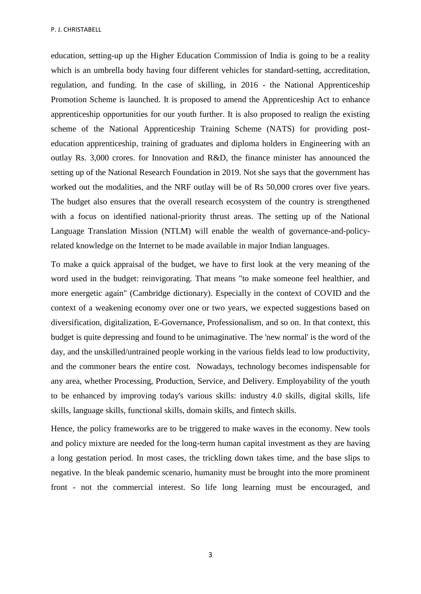education, setting-up up the Higher Education Commission of India is going to be a reality which is an umbrella body having four different vehicles for standard-setting, accreditation, regulation, and funding. In the case of skilling, in 2016 - the National Apprenticeship Promotion Scheme is launched. It is proposed to amend the Apprenticeship Act to enhance apprenticeship opportunities for our youth further. It is also proposed to realign the existing scheme of the National Apprenticeship Training Scheme (NATS) for providing posteducation apprenticeship, training of graduates and diploma holders in Engineering with an outlay Rs. 3,000 crores. for Innovation and R&D, the finance minister has announced the setting up of the National Research Foundation in 2019. Not she says that the government has worked out the modalities, and the NRF outlay will be of Rs 50,000 crores over five years. The budget also ensures that the overall research ecosystem of the country is strengthened with a focus on identified national-priority thrust areas. The setting up of the National Language Translation Mission (NTLM) will enable the wealth of governance-and-policyrelated knowledge on the Internet to be made available in major Indian languages.

To make a quick appraisal of the budget, we have to first look at the very meaning of the word used in the budget: reinvigorating. That means "to make someone feel healthier, and more energetic again" (Cambridge dictionary). Especially in the context of COVID and the context of a weakening economy over one or two years, we expected suggestions based on diversification, digitalization, E-Governance, Professionalism, and so on. In that context, this budget is quite depressing and found to be unimaginative. The 'new normal' is the word of the day, and the unskilled/untrained people working in the various fields lead to low productivity, and the commoner bears the entire cost. Nowadays, technology becomes indispensable for any area, whether Processing, Production, Service, and Delivery. Employability of the youth to be enhanced by improving today's various skills: industry 4.0 skills, digital skills, life skills, language skills, functional skills, domain skills, and fintech skills.

Hence, the policy frameworks are to be triggered to make waves in the economy. New tools and policy mixture are needed for the long-term human capital investment as they are having a long gestation period. In most cases, the trickling down takes time, and the base slips to negative. In the bleak pandemic scenario, humanity must be brought into the more prominent front - not the commercial interest. So life long learning must be encouraged, and

3